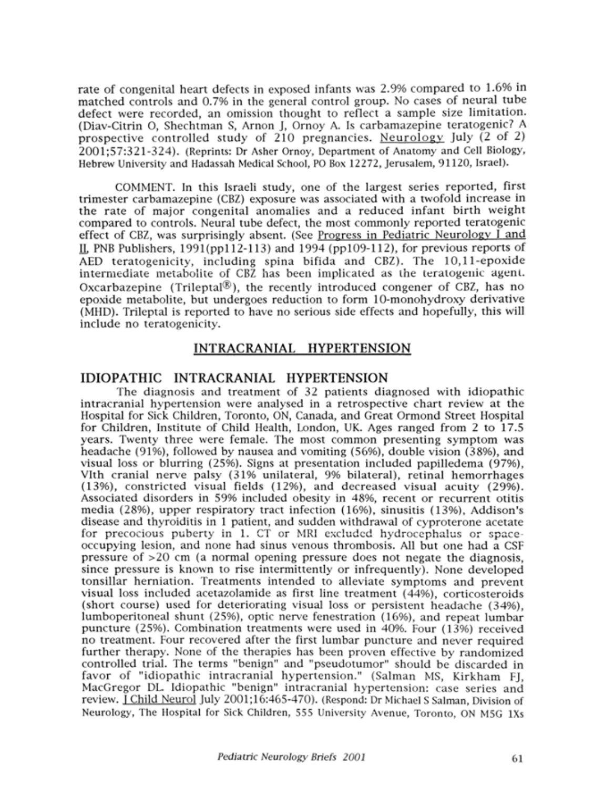rate of congenital heart defects in exposed infants was 2.9% compared to 1.6% in matched controls and 0.7% in the general control group. No cases of neural tube defect were recorded, an omission thought to reflect a sample size limitation. (Diav-Citrin O, Shechtman S, Arnon J, Ornoy A. Is carbamazepine teratogenic? A prospective controlled study of 210 pregnancies. Neurology July (2 of 2) 2001;57:321-324). (Reprints: Dr Asher Ornoy, Department of Anatomy and Cell Biology, Hebrew University and Hadassah Medical School, PO Box 12272, Jerusalem, 91120, Israel).

COMMENT. In this Israeli study, one of the largest series reported, first trimester carbamazepine (CBZ) exposure was associated with <sup>a</sup> twofold increase in the rate of major congenital anomalies and <sup>a</sup> reduced infant birth weight compared to controls. Neural tube defect, the most commonly reported teratogenic effect of CBZ, was surprisingly absent. (See Progress in Pediatric Neurology I and II. PNB Publishers,  $1991(pp112-113)$  and  $1994(pp109-112)$ , for previous reports of AED teratogenicity, including spina bifida and CBZ). The 10,11-epoxide intermediate metabolite of CBZ has been implicated as the teratogenic agent. Oxcarbazepine (Trileptal®), the recently introduced congener of CBZ, has no epoxide metabolite, but undergoes reduction to form 10-monohydroxy derivative (MHD). Trileptal is reported to have no serious side effects and hopefully, this will include no teratogenicity.

# INTRACRANIAL HYPERTENSION

# IDIOPATHIC INTRACRANIAL HYPERTENSION

The diagnosis and treatment of 32 patients diagnosed with idiopathic intracranial hypertension were analysed in <sup>a</sup> retrospective chart review at the Hospital for Sick Children, Toronto, ON, Canada, and Great Ormond Street Hospital for Children, Institute of Child Health, London, UK. Ages ranged from <sup>2</sup> to 17.5 years. Twenty three were female. The most common presenting symptom was headache (91%), followed by nausea and vomiting (56%), double vision (38%), and visual loss or blurring (25%). Signs at presentation included papilledema (97%), Vlth cranial nerve palsy (31% unilateral, 9% bilateral), retinal hemorrhages (13%), constricted visual fields (12%), and decreased visual acuity (29%). Associated disorders in 59% included obesity in 48%, recent or recurrent otitis media (28%), upper respiratory tract infection (16%), sinusitis (13%), Addison's disease and thyroiditis in <sup>1</sup> patient, and sudden withdrawal of cyproterone acetate for precocious puberty in 1. CT or MRI excluded hydrocephalus or spaceoccupying lesion, and none had sinus venous thrombosis. All but one had a CSF pressure of >20 cm (a normal opening pressure does not negate the diagnosis, since pressure is known to rise intermittently or infrequently). None developed tonsillar herniation. Treatments intended to alleviate symptoms and prevent visual loss included acetazolamide as first line treatment (44%), corticosteroids (short course) used for deteriorating visual loss or persistent headache (34%), lumboperitoneal shunt (25%), optic nerve fenestration (16%), and repeat lumbar puncture (25%). Combination treatments were used in 40%. Four (13%) received no treatment. Four recovered after the first lumbar puncture and never required further therapy. None of the therapies has been proven effective by randomized controlled trial. The terms "benign" and "pseudotumor" should be discarded in favor of "idiopathic intracranial hypertension." (Salman MS, Kirkham FJ, MacGregor DL. Idiopathic "benign" intracranial hypertension: case series and review. **1 Child Neurol July 2001;16:465-470).** (Respond: Dr Michael S Salman, Division of Neurology, The Hospital for Sick Children, 555 University Avenue, Toronto, ON M5G lXs